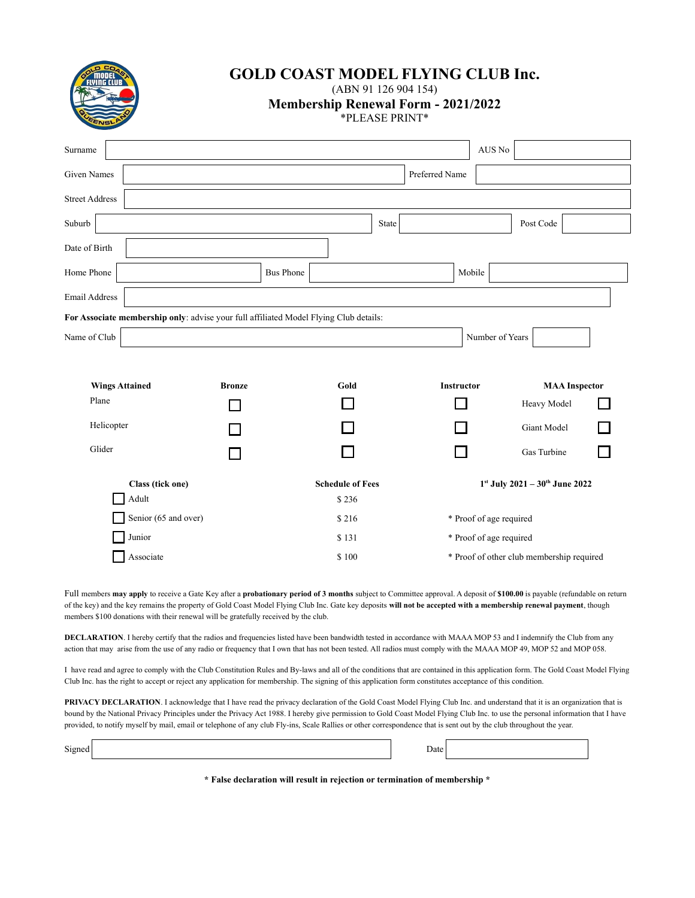

# **GOLD COAST MODEL FLYING CLUB Inc.**

(ABN 91 126 904 154)

**Membership Renewal Form - 2021/2022**

\*PLEASE PRINT\*

| Surname                                                                               |                 |                  |                         |                   | AUS No                                   |                                           |  |  |
|---------------------------------------------------------------------------------------|-----------------|------------------|-------------------------|-------------------|------------------------------------------|-------------------------------------------|--|--|
| <b>Given Names</b>                                                                    |                 |                  |                         | Preferred Name    |                                          |                                           |  |  |
| <b>Street Address</b>                                                                 |                 |                  |                         |                   |                                          |                                           |  |  |
| Suburb                                                                                |                 |                  | State                   |                   |                                          | Post Code                                 |  |  |
| Date of Birth                                                                         |                 |                  |                         |                   |                                          |                                           |  |  |
| Home Phone                                                                            |                 | <b>Bus Phone</b> |                         |                   | Mobile                                   |                                           |  |  |
| <b>Email Address</b>                                                                  |                 |                  |                         |                   |                                          |                                           |  |  |
| For Associate membership only: advise your full affiliated Model Flying Club details: |                 |                  |                         |                   |                                          |                                           |  |  |
| Name of Club                                                                          | Number of Years |                  |                         |                   |                                          |                                           |  |  |
|                                                                                       |                 |                  |                         |                   |                                          |                                           |  |  |
| <b>Wings Attained</b><br><b>Bronze</b>                                                |                 | Gold             |                         | <b>Instructor</b> |                                          | <b>MAA</b> Inspector                      |  |  |
| Plane                                                                                 |                 |                  |                         |                   |                                          | Heavy Model                               |  |  |
| Helicopter                                                                            |                 |                  |                         |                   |                                          | Giant Model                               |  |  |
| Glider                                                                                |                 |                  |                         |                   |                                          | Gas Turbine                               |  |  |
| Class (tick one)                                                                      |                 |                  | <b>Schedule of Fees</b> |                   | $1^{st}$ July 2021 - $30^{th}$ June 2022 |                                           |  |  |
| Adult                                                                                 |                 |                  | \$236                   |                   |                                          |                                           |  |  |
| Senior (65 and over)                                                                  |                 |                  |                         |                   | * Proof of age required                  |                                           |  |  |
| Junior                                                                                |                 |                  | \$131                   |                   | * Proof of age required                  |                                           |  |  |
| Associate                                                                             |                 |                  | \$100                   |                   |                                          | * Proof of other club membership required |  |  |

Full members **may apply** to receive a Gate Key after a **probationary period of 3 months** subject to Committee approval. A deposit of **\$100.00** is payable (refundable on return of the key) and the key remains the property of Gold Coast Model Flying Club Inc. Gate key deposits **will not be accepted with a membership renewal payment**, though members \$100 donations with their renewal will be gratefully received by the club.

**DECLARATION**. I hereby certify that the radios and frequencies listed have been bandwidth tested in accordance with MAAA MOP 53 and I indemnify the Club from any action that may arise from the use of any radio or frequency that I own that has not been tested. All radios must comply with the MAAA MOP 49, MOP 52 and MOP 058.

I have read and agree to comply with the Club Constitution Rules and By-laws and all of the conditions that are contained in this application form. The Gold Coast Model Flying Club Inc. has the right to accept or reject any application for membership. The signing of this application form constitutes acceptance of this condition.

PRIVACY DECLARATION. I acknowledge that I have read the privacy declaration of the Gold Coast Model Flying Club Inc. and understand that it is an organization that is bound by the National Privacy Principles under the Privacy Act 1988. I hereby give permission to Gold Coast Model Flying Club Inc. to use the personal information that I have provided, to notify myself by mail, email or telephone of any club Fly-ins, Scale Rallies or other correspondence that is sent out by the club throughout the year.

| $\sim$ | 74 I F |  |
|--------|--------|--|
|        |        |  |

**\* False declaration will result in rejection or termination of membership \***